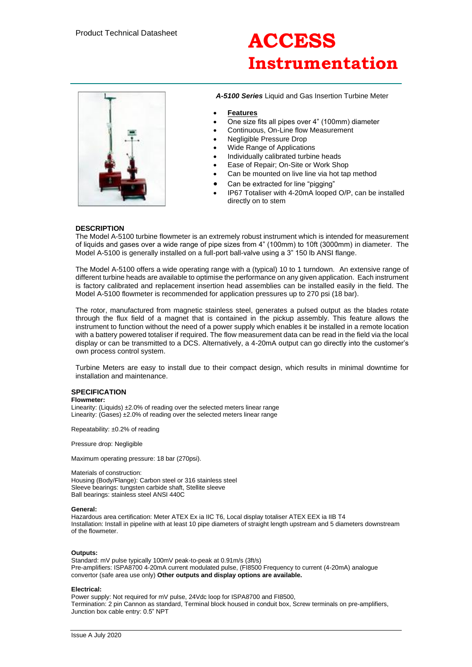

## *A-5100 Series* Liquid and Gas Insertion Turbine Meter

- **Features**
- One size fits all pipes over 4" (100mm) diameter
- Continuous, On-Line flow Measurement
- Negligible Pressure Drop
- Wide Range of Applications
- Individually calibrated turbine heads
- Ease of Repair; On-Site or Work Shop
- Can be mounted on live line via hot tap method
- Can be extracted for line "pigging"
- IP67 Totaliser with 4-20mA looped O/P, can be installed directly on to stem

### **DESCRIPTION**

The Model A-5100 turbine flowmeter is an extremely robust instrument which is intended for measurement of liquids and gases over a wide range of pipe sizes from 4" (100mm) to 10ft (3000mm) in diameter. The Model A-5100 is generally installed on a full-port ball-valve using a 3" 150 lb ANSI flange.

The Model A-5100 offers a wide operating range with a (typical) 10 to 1 turndown. An extensive range of different turbine heads are available to optimise the performance on any given application. Each instrument is factory calibrated and replacement insertion head assemblies can be installed easily in the field. The Model A-5100 flowmeter is recommended for application pressures up to 270 psi (18 bar).

The rotor, manufactured from magnetic stainless steel, generates a pulsed output as the blades rotate through the flux field of a magnet that is contained in the pickup assembly. This feature allows the instrument to function without the need of a power supply which enables it be installed in a remote location with a battery powered totaliser if required. The flow measurement data can be read in the field via the local display or can be transmitted to a DCS. Alternatively, a 4-20mA output can go directly into the customer's own process control system.

Turbine Meters are easy to install due to their compact design, which results in minimal downtime for installation and maintenance.

#### **SPECIFICATION Flowmeter:**

Linearity: (Liquids) ±2.0% of reading over the selected meters linear range Linearity: (Gases) ±2.0% of reading over the selected meters linear range

Repeatability: ±0.2% of reading

Pressure drop: Negligible

Maximum operating pressure: 18 bar (270psi).

Materials of construction: Housing (Body/Flange): Carbon steel or 316 stainless steel Sleeve bearings: tungsten carbide shaft, Stellite sleeve Ball bearings: stainless steel ANSI 440C

### **General:**

Hazardous area certification: Meter ATEX Ex ia IIC T6, Local display totaliser ATEX EEX ia IIB T4 Installation: Install in pipeline with at least 10 pipe diameters of straight length upstream and 5 diameters downstream of the flowmeter.

### **Outputs:**

Standard: mV pulse typically 100mV peak-to-peak at 0.91m/s (3ft/s) Pre-amplifiers: ISPA8700 4-20mA current modulated pulse, (FI8500 Frequency to current (4-20mA) analogue convertor (safe area use only) **Other outputs and display options are available.**

#### **Electrical:**

Power supply: Not required for mV pulse, 24Vdc loop for ISPA8700 and FI8500, Termination: 2 pin Cannon as standard, Terminal block housed in conduit box, Screw terminals on pre-amplifiers, Junction box cable entry: 0.5" NPT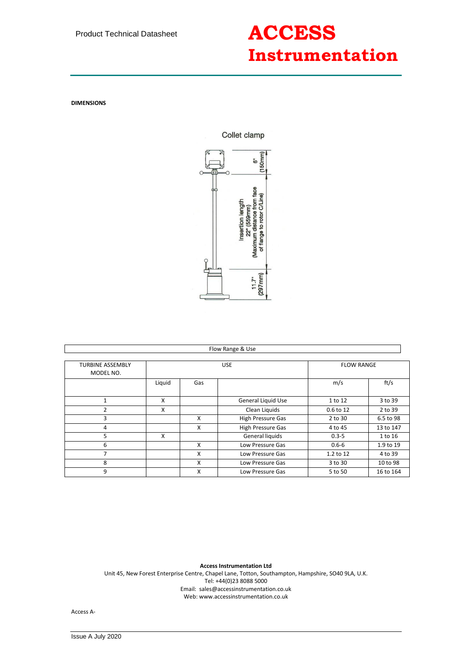**DIMENSIONS**



|                               |            |     | Flow Range & Use         |                   |           |
|-------------------------------|------------|-----|--------------------------|-------------------|-----------|
| TURBINE ASSEMBLY<br>MODEL NO. | <b>USE</b> |     |                          | <b>FLOW RANGE</b> |           |
|                               | Liquid     | Gas |                          | m/s               | ft/s      |
| 1                             | X          |     | General Liquid Use       | 1 to 12           | 3 to 39   |
| $\overline{2}$                | x          |     | Clean Liquids            | 0.6 to 12         | 2 to 39   |
| 3                             |            | x   | High Pressure Gas        | 2 to 30           | 6.5 to 98 |
| 4                             |            | X   | <b>High Pressure Gas</b> | 4 to 45           | 13 to 147 |
| 5                             | x          |     | General liquids          | $0.3 - 5$         | 1 to 16   |
| 6                             |            | x   | Low Pressure Gas         | $0.6 - 6$         | 1.9 to 19 |
| 7                             |            | x   | Low Pressure Gas         | 1.2 to 12         | 4 to 39   |
| 8                             |            | x   | Low Pressure Gas         | 3 to 30           | 10 to 98  |
| 9                             |            | X   | Low Pressure Gas         | 5 to 50           | 16 to 164 |

**Access Instrumentation Ltd** Unit 45, New Forest Enterprise Centre, Chapel Lane, Totton, Southampton, Hampshire, SO40 9LA, U.K. Tel: +44(0)23 8088 5000 Email: [sales@accessinstrumentation.co.uk](mailto:sales@accessinstrumentation.co.uk) Web[: www.accessinstrumentation.co.uk](http://www.accessinstrumentation.co.uk/)

Access A-

Issue A July 2020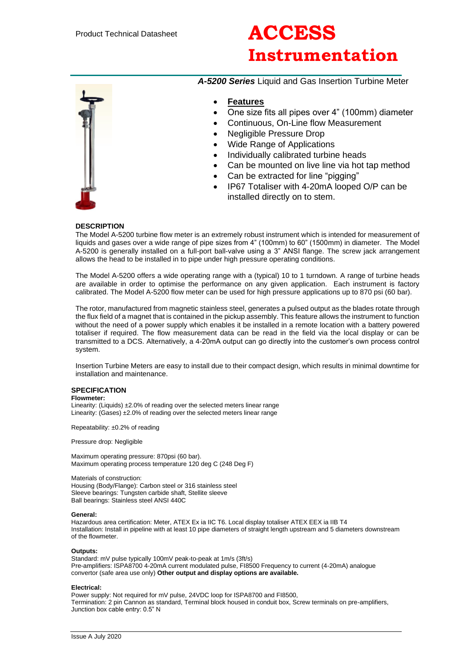

*A-5200 Series* Liquid and Gas Insertion Turbine Meter

- **Features**
- One size fits all pipes over 4" (100mm) diameter
- Continuous, On-Line flow Measurement
- Negligible Pressure Drop
- Wide Range of Applications
- Individually calibrated turbine heads
- Can be mounted on live line via hot tap method
- Can be extracted for line "pigging"
- IP67 Totaliser with 4-20mA looped O/P can be installed directly on to stem.

## **DESCRIPTION**

The Model A-5200 turbine flow meter is an extremely robust instrument which is intended for measurement of liquids and gases over a wide range of pipe sizes from 4" (100mm) to 60" (1500mm) in diameter. The Model A-5200 is generally installed on a full-port ball-valve using a 3" ANSI flange. The screw jack arrangement allows the head to be installed in to pipe under high pressure operating conditions.

The Model A-5200 offers a wide operating range with a (typical) 10 to 1 turndown. A range of turbine heads are available in order to optimise the performance on any given application. Each instrument is factory calibrated. The Model A-5200 flow meter can be used for high pressure applications up to 870 psi (60 bar).

The rotor, manufactured from magnetic stainless steel, generates a pulsed output as the blades rotate through the flux field of a magnet that is contained in the pickup assembly. This feature allows the instrument to function without the need of a power supply which enables it be installed in a remote location with a battery powered totaliser if required. The flow measurement data can be read in the field via the local display or can be transmitted to a DCS. Alternatively, a 4-20mA output can go directly into the customer's own process control system.

Insertion Turbine Meters are easy to install due to their compact design, which results in minimal downtime for installation and maintenance.

# **SPECIFICATION**

**Flowmeter:** Linearity: (Liquids) ±2.0% of reading over the selected meters linear range Linearity: (Gases) ±2.0% of reading over the selected meters linear range

Repeatability: ±0.2% of reading

Pressure drop: Negligible

Maximum operating pressure: 870psi (60 bar). Maximum operating process temperature 120 deg C (248 Deg F)

Materials of construction: Housing (Body/Flange): Carbon steel or 316 stainless steel Sleeve bearings: Tungsten carbide shaft, Stellite sleeve Ball bearings: Stainless steel ANSI 440C

#### **General:**

Hazardous area certification: Meter, ATEX Ex ia IIC T6. Local display totaliser ATEX EEX ia IIB T4 Installation: Install in pipeline with at least 10 pipe diameters of straight length upstream and 5 diameters downstream of the flowmeter.

### **Outputs:**

Standard: mV pulse typically 100mV peak-to-peak at 1m/s (3ft/s) Pre-amplifiers: ISPA8700 4-20mA current modulated pulse, FI8500 Frequency to current (4-20mA) analogue convertor (safe area use only) **Other output and display options are available.**

### **Electrical:**

Power supply: Not required for mV pulse, 24VDC loop for ISPA8700 and FI8500, Termination: 2 pin Cannon as standard, Terminal block housed in conduit box, Screw terminals on pre-amplifiers, Junction box cable entry: 0.5" N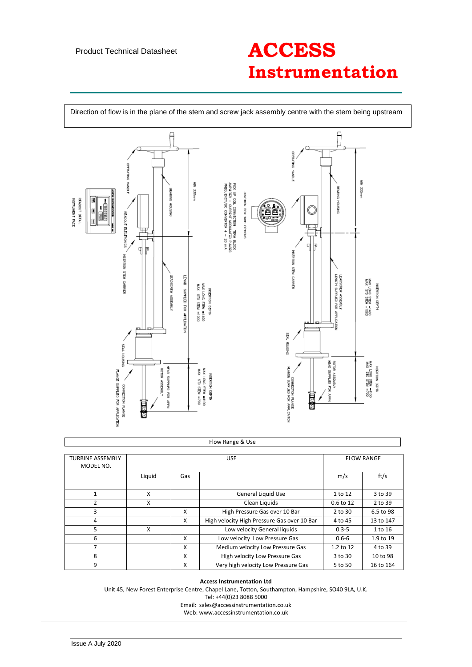

| Flow Range & Use |  |  |
|------------------|--|--|
|------------------|--|--|

| <b>TURBINE ASSEMBLY</b><br>MODEL NO. | <b>USE</b> |     |                                             | <b>FLOW RANGE</b> |           |
|--------------------------------------|------------|-----|---------------------------------------------|-------------------|-----------|
|                                      | Liquid     | Gas |                                             | m/s               | ft/s      |
| 1                                    | X          |     | General Liquid Use                          | 1 to 12           | 3 to 39   |
| 2                                    | x          |     | Clean Liquids                               | 0.6 to 12         | 2 to 39   |
| 3                                    |            | x   | High Pressure Gas over 10 Bar               | 2 to 30           | 6.5 to 98 |
| 4                                    |            | X   | High velocity High Pressure Gas over 10 Bar | 4 to 45           | 13 to 147 |
| 5                                    | x          |     | Low velocity General liquids                | $0.3 - 5$         | 1 to 16   |
| 6                                    |            | X   | Low velocity Low Pressure Gas               | $0.6 - 6$         | 1.9 to 19 |
| 7                                    |            | x   | Medium velocity Low Pressure Gas            | 1.2 to 12         | 4 to 39   |
| 8                                    |            | x   | High velocity Low Pressure Gas              | 3 to 30           | 10 to 98  |
| 9                                    |            | x   | Very high velocity Low Pressure Gas         | 5 to 50           | 16 to 164 |

**Access Instrumentation Ltd**

Unit 45, New Forest Enterprise Centre, Chapel Lane, Totton, Southampton, Hampshire, SO40 9LA, U.K. Tel: +44(0)23 8088 5000 Email: [sales@accessinstrumentation.co.uk](mailto:sales@accessinstrumentation.co.uk) Web[: www.accessinstrumentation.co.uk](http://www.accessinstrumentation.co.uk/)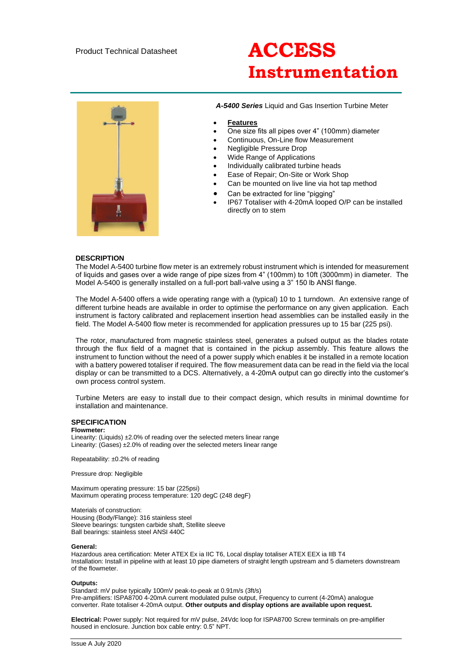

*A-5400 Series* Liquid and Gas Insertion Turbine Meter

- **Features**
- One size fits all pipes over 4" (100mm) diameter
- Continuous, On-Line flow Measurement
- Negligible Pressure Drop
- Wide Range of Applications
- Individually calibrated turbine heads
- Ease of Repair; On-Site or Work Shop
- Can be mounted on live line via hot tap method
- Can be extracted for line "pigging"
- IP67 Totaliser with 4-20mA looped O/P can be installed directly on to stem

### **DESCRIPTION**

The Model A-5400 turbine flow meter is an extremely robust instrument which is intended for measurement of liquids and gases over a wide range of pipe sizes from 4" (100mm) to 10ft (3000mm) in diameter. The Model A-5400 is generally installed on a full-port ball-valve using a 3" 150 lb ANSI flange.

The Model A-5400 offers a wide operating range with a (typical) 10 to 1 turndown. An extensive range of different turbine heads are available in order to optimise the performance on any given application. Each instrument is factory calibrated and replacement insertion head assemblies can be installed easily in the field. The Model A-5400 flow meter is recommended for application pressures up to 15 bar (225 psi).

The rotor, manufactured from magnetic stainless steel, generates a pulsed output as the blades rotate through the flux field of a magnet that is contained in the pickup assembly. This feature allows the instrument to function without the need of a power supply which enables it be installed in a remote location with a battery powered totaliser if required. The flow measurement data can be read in the field via the local display or can be transmitted to a DCS. Alternatively, a 4-20mA output can go directly into the customer's own process control system.

Turbine Meters are easy to install due to their compact design, which results in minimal downtime for installation and maintenance.

### **SPECIFICATION**

#### **Flowmeter:**

Linearity: (Liquids) ±2.0% of reading over the selected meters linear range Linearity: (Gases) ±2.0% of reading over the selected meters linear range

Repeatability: ±0.2% of reading

Pressure drop: Negligible

Maximum operating pressure: 15 bar (225psi) Maximum operating process temperature: 120 degC (248 degF)

Materials of construction: Housing (Body/Flange): 316 stainless steel Sleeve bearings: tungsten carbide shaft, Stellite sleeve Ball bearings: stainless steel ANSI 440C

#### **General:**

Hazardous area certification: Meter ATEX Ex ia IIC T6, Local display totaliser ATEX EEX ia IIB T4 Installation: Install in pipeline with at least 10 pipe diameters of straight length upstream and 5 diameters downstream of the flowmeter.

#### **Outputs:**

Standard: mV pulse typically 100mV peak-to-peak at 0.91m/s (3ft/s) Pre-amplifiers: ISPA8700 4-20mA current modulated pulse output, Frequency to current (4-20mA) analogue converter. Rate totaliser 4-20mA output. **Other outputs and display options are available upon request.**

**Electrical:** Power supply: Not required for mV pulse, 24Vdc loop for ISPA8700 Screw terminals on pre-amplifier housed in enclosure. Junction box cable entry: 0.5" NPT.